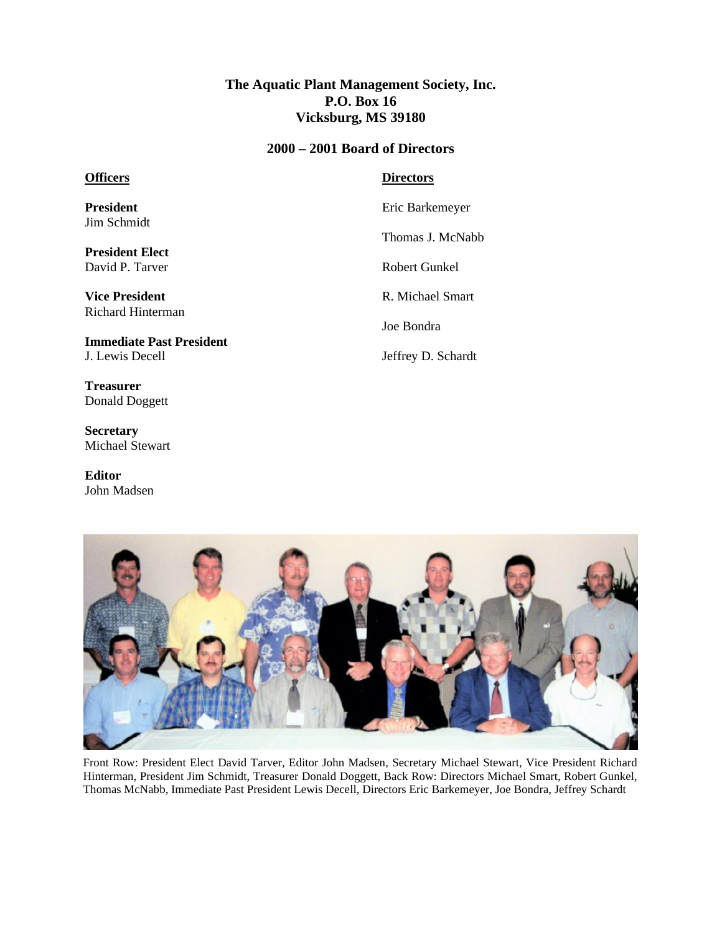## **The Aquatic Plant Management Society, Inc. P.O. Box 16 Vicksburg, MS 39180**

## **2000 – 2001 Board of Directors**

## **Officers**

**President** Jim Schmidt

**President Elect** David P. Tarver

**Vice President** Richard Hinterman

**Immediate Past President** J. Lewis Decell

**Treasurer** Donald Doggett

**Secretary** Michael Stewart

**Editor** John Madsen

## **Directors**

Eric Barkemeyer

Thomas J. McNabb

Robert Gunkel

R. Michael Smart

Joe Bondra

Jeffrey D. Schardt



Front Row: President Elect David Tarver, Editor John Madsen, Secretary Michael Stewart, Vice President Richard Hinterman, President Jim Schmidt, Treasurer Donald Doggett, Back Row: Directors Michael Smart, Robert Gunkel, Thomas McNabb, Immediate Past President Lewis Decell, Directors Eric Barkemeyer, Joe Bondra, Jeffrey Schardt